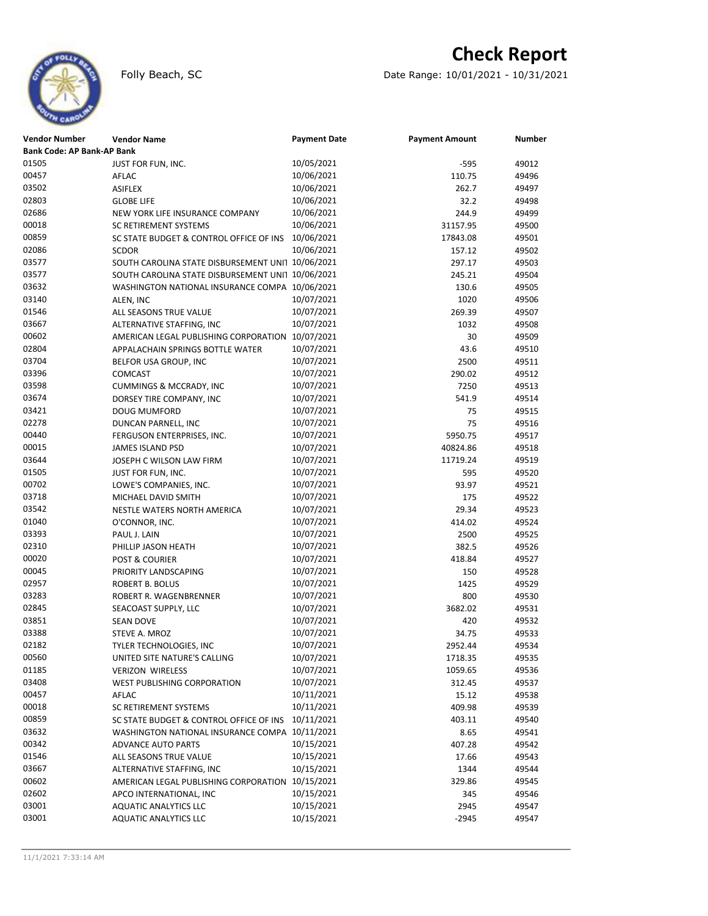

# **Check Report**

Folly Beach, SC Date Range: 10/01/2021 - 10/31/2021

| Vendor Number                     | <b>Vendor Name</b>                                | <b>Payment Date</b> | <b>Payment Amount</b> | <b>Number</b> |  |  |  |  |
|-----------------------------------|---------------------------------------------------|---------------------|-----------------------|---------------|--|--|--|--|
| <b>Bank Code: AP Bank-AP Bank</b> |                                                   |                     |                       |               |  |  |  |  |
| 01505                             | JUST FOR FUN, INC.                                | 10/05/2021          | -595                  | 49012         |  |  |  |  |
| 00457                             | AFLAC                                             | 10/06/2021          | 110.75                | 49496         |  |  |  |  |
| 03502                             | <b>ASIFLEX</b>                                    | 10/06/2021          | 262.7                 | 49497         |  |  |  |  |
| 02803                             | <b>GLOBE LIFE</b>                                 | 10/06/2021          | 32.2                  | 49498         |  |  |  |  |
| 02686                             | NEW YORK LIFE INSURANCE COMPANY                   | 10/06/2021          | 244.9                 | 49499         |  |  |  |  |
| 00018                             | SC RETIREMENT SYSTEMS                             | 10/06/2021          | 31157.95              | 49500         |  |  |  |  |
| 00859                             | SC STATE BUDGET & CONTROL OFFICE OF INS           | 10/06/2021          | 17843.08              | 49501         |  |  |  |  |
| 02086                             | <b>SCDOR</b>                                      | 10/06/2021          | 157.12                | 49502         |  |  |  |  |
| 03577                             | SOUTH CAROLINA STATE DISBURSEMENT UNI1 10/06/2021 |                     | 297.17                | 49503         |  |  |  |  |
| 03577                             | SOUTH CAROLINA STATE DISBURSEMENT UNI1 10/06/2021 |                     | 245.21                | 49504         |  |  |  |  |
| 03632                             | WASHINGTON NATIONAL INSURANCE COMPA 10/06/2021    |                     | 130.6                 | 49505         |  |  |  |  |
| 03140                             | ALEN, INC                                         | 10/07/2021          | 1020                  | 49506         |  |  |  |  |
| 01546                             | ALL SEASONS TRUE VALUE                            | 10/07/2021          | 269.39                | 49507         |  |  |  |  |
| 03667                             | ALTERNATIVE STAFFING, INC                         | 10/07/2021          | 1032                  | 49508         |  |  |  |  |
| 00602                             | AMERICAN LEGAL PUBLISHING CORPORATION             | 10/07/2021          | 30                    | 49509         |  |  |  |  |
| 02804                             | APPALACHAIN SPRINGS BOTTLE WATER                  | 10/07/2021          | 43.6                  | 49510         |  |  |  |  |
| 03704                             | BELFOR USA GROUP, INC                             | 10/07/2021          | 2500                  | 49511         |  |  |  |  |
| 03396                             | <b>COMCAST</b>                                    | 10/07/2021          | 290.02                | 49512         |  |  |  |  |
| 03598                             | <b>CUMMINGS &amp; MCCRADY, INC</b>                | 10/07/2021          | 7250                  | 49513         |  |  |  |  |
| 03674                             | DORSEY TIRE COMPANY, INC                          | 10/07/2021          | 541.9                 | 49514         |  |  |  |  |
| 03421                             | DOUG MUMFORD                                      | 10/07/2021          | 75                    | 49515         |  |  |  |  |
| 02278                             | DUNCAN PARNELL, INC                               | 10/07/2021          | 75                    | 49516         |  |  |  |  |
| 00440                             | FERGUSON ENTERPRISES, INC.                        | 10/07/2021          | 5950.75               | 49517         |  |  |  |  |
| 00015                             | <b>JAMES ISLAND PSD</b>                           | 10/07/2021          | 40824.86              | 49518         |  |  |  |  |
| 03644                             | JOSEPH C WILSON LAW FIRM                          | 10/07/2021          | 11719.24              | 49519         |  |  |  |  |
| 01505                             | JUST FOR FUN, INC.                                | 10/07/2021          | 595                   | 49520         |  |  |  |  |
| 00702                             | LOWE'S COMPANIES, INC.                            | 10/07/2021          | 93.97                 | 49521         |  |  |  |  |
| 03718                             | MICHAEL DAVID SMITH                               | 10/07/2021          | 175                   | 49522         |  |  |  |  |
| 03542                             | NESTLE WATERS NORTH AMERICA                       | 10/07/2021          | 29.34                 | 49523         |  |  |  |  |
| 01040                             | O'CONNOR, INC.                                    | 10/07/2021          | 414.02                | 49524         |  |  |  |  |
| 03393                             | PAUL J. LAIN                                      | 10/07/2021          | 2500                  | 49525         |  |  |  |  |
| 02310                             | PHILLIP JASON HEATH                               | 10/07/2021          | 382.5                 | 49526         |  |  |  |  |
| 00020                             | <b>POST &amp; COURIER</b>                         | 10/07/2021          | 418.84                | 49527         |  |  |  |  |
| 00045                             | PRIORITY LANDSCAPING                              | 10/07/2021          | 150                   | 49528         |  |  |  |  |
| 02957                             | <b>ROBERT B. BOLUS</b>                            | 10/07/2021          | 1425                  | 49529         |  |  |  |  |
| 03283                             | ROBERT R. WAGENBRENNER                            | 10/07/2021          | 800                   | 49530         |  |  |  |  |
| 02845                             | SEACOAST SUPPLY, LLC                              | 10/07/2021          | 3682.02               | 49531         |  |  |  |  |
| 03851                             | <b>SEAN DOVE</b>                                  | 10/07/2021          | 420                   | 49532         |  |  |  |  |
| 03388                             | STEVE A. MROZ                                     | 10/07/2021          | 34.75                 | 49533         |  |  |  |  |
| 02182                             | TYLER TECHNOLOGIES, INC                           | 10/07/2021          | 2952.44               | 49534         |  |  |  |  |
| 00560                             | UNITED SITE NATURE'S CALLING                      | 10/07/2021          | 1718.35               | 49535         |  |  |  |  |
| 01185                             | <b>VERIZON WIRELESS</b>                           | 10/07/2021          | 1059.65               | 49536         |  |  |  |  |
| 03408                             | WEST PUBLISHING CORPORATION                       | 10/07/2021          | 312.45                | 49537         |  |  |  |  |
| 00457                             | AFLAC                                             | 10/11/2021          | 15.12                 | 49538         |  |  |  |  |
| 00018                             | SC RETIREMENT SYSTEMS                             | 10/11/2021          | 409.98                | 49539         |  |  |  |  |
| 00859                             | SC STATE BUDGET & CONTROL OFFICE OF INS           | 10/11/2021          | 403.11                | 49540         |  |  |  |  |
| 03632                             | WASHINGTON NATIONAL INSURANCE COMPA 10/11/2021    |                     | 8.65                  | 49541         |  |  |  |  |
| 00342                             | <b>ADVANCE AUTO PARTS</b>                         | 10/15/2021          | 407.28                | 49542         |  |  |  |  |
| 01546                             | ALL SEASONS TRUE VALUE                            | 10/15/2021          | 17.66                 | 49543         |  |  |  |  |
| 03667                             | ALTERNATIVE STAFFING, INC                         | 10/15/2021          | 1344                  | 49544         |  |  |  |  |
| 00602                             | AMERICAN LEGAL PUBLISHING CORPORATION             | 10/15/2021          | 329.86                | 49545         |  |  |  |  |
| 02602                             | APCO INTERNATIONAL, INC                           | 10/15/2021          | 345                   | 49546         |  |  |  |  |
| 03001                             | <b>AQUATIC ANALYTICS LLC</b>                      | 10/15/2021          | 2945                  | 49547         |  |  |  |  |
| 03001                             | <b>AQUATIC ANALYTICS LLC</b>                      | 10/15/2021          | $-2945$               | 49547         |  |  |  |  |
|                                   |                                                   |                     |                       |               |  |  |  |  |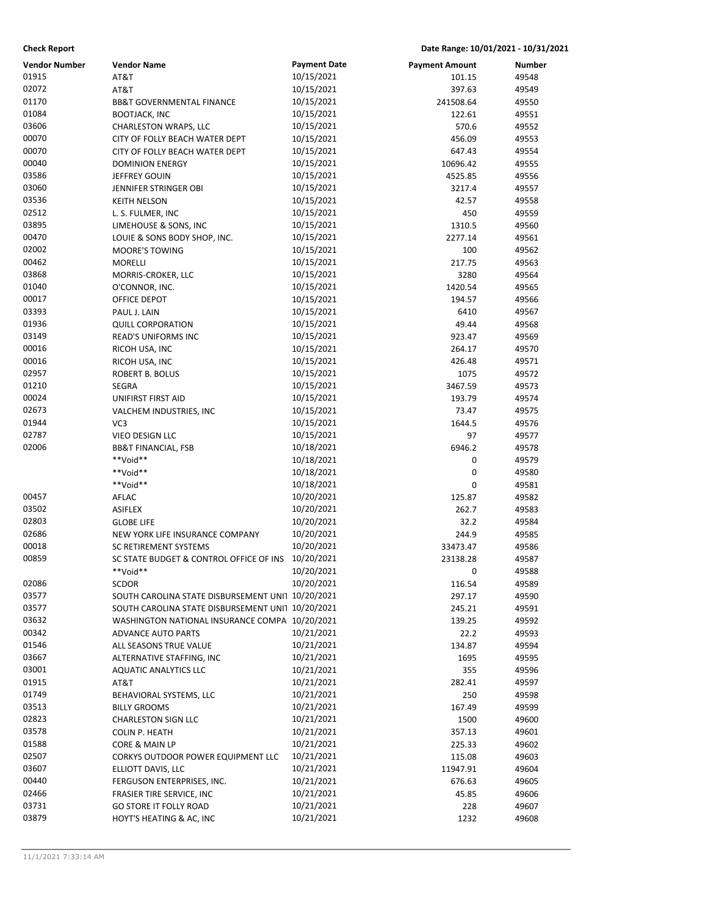## **Check Report Date Range: 10/01/2021 - 10/31/2021**

| Vendor Number  | <b>Vendor Name</b>                                | <b>Payment Date</b>      | <b>Payment Amount</b> | Number         |
|----------------|---------------------------------------------------|--------------------------|-----------------------|----------------|
| 01915          | AT&T                                              | 10/15/2021               | 101.15                | 49548          |
| 02072          | AT&T                                              | 10/15/2021               | 397.63                | 49549          |
| 01170          | BB&T GOVERNMENTAL FINANCE                         | 10/15/2021               | 241508.64             | 49550          |
| 01084          | <b>BOOTJACK, INC</b>                              | 10/15/2021               | 122.61                | 49551          |
| 03606          | CHARLESTON WRAPS, LLC                             | 10/15/2021               | 570.6                 | 49552          |
| 00070          | CITY OF FOLLY BEACH WATER DEPT                    | 10/15/2021               | 456.09                | 49553          |
| 00070          | CITY OF FOLLY BEACH WATER DEPT                    | 10/15/2021               | 647.43                | 49554          |
| 00040          | <b>DOMINION ENERGY</b>                            | 10/15/2021               | 10696.42              | 49555          |
| 03586          | JEFFREY GOUIN                                     | 10/15/2021               | 4525.85               | 49556          |
| 03060          | JENNIFER STRINGER OBI                             | 10/15/2021               | 3217.4                | 49557          |
| 03536          | <b>KEITH NELSON</b>                               | 10/15/2021               | 42.57                 | 49558          |
| 02512          | L. S. FULMER, INC                                 | 10/15/2021               | 450                   | 49559          |
| 03895          | LIMEHOUSE & SONS, INC                             | 10/15/2021               | 1310.5                | 49560          |
| 00470<br>02002 | LOUIE & SONS BODY SHOP, INC.                      | 10/15/2021               | 2277.14               | 49561          |
| 00462          | <b>MOORE'S TOWING</b>                             | 10/15/2021               | 100                   | 49562          |
| 03868          | <b>MORELLI</b>                                    | 10/15/2021<br>10/15/2021 | 217.75                | 49563          |
| 01040          | MORRIS-CROKER, LLC                                |                          | 3280<br>1420.54       | 49564          |
| 00017          | O'CONNOR, INC.                                    | 10/15/2021<br>10/15/2021 |                       | 49565          |
| 03393          | OFFICE DEPOT<br>PAUL J. LAIN                      | 10/15/2021               | 194.57                | 49566          |
| 01936          | <b>QUILL CORPORATION</b>                          | 10/15/2021               | 6410                  | 49567          |
| 03149          |                                                   |                          | 49.44                 | 49568          |
| 00016          | <b>READ'S UNIFORMS INC</b>                        | 10/15/2021<br>10/15/2021 | 923.47                | 49569          |
| 00016          | RICOH USA, INC                                    | 10/15/2021               | 264.17<br>426.48      | 49570<br>49571 |
| 02957          | RICOH USA, INC                                    | 10/15/2021               |                       |                |
| 01210          | ROBERT B. BOLUS                                   | 10/15/2021               | 1075<br>3467.59       | 49572<br>49573 |
| 00024          | <b>SEGRA</b>                                      | 10/15/2021               | 193.79                | 49574          |
| 02673          | UNIFIRST FIRST AID                                | 10/15/2021               | 73.47                 | 49575          |
| 01944          | VALCHEM INDUSTRIES, INC<br>VC <sub>3</sub>        | 10/15/2021               | 1644.5                | 49576          |
| 02787          | VIEO DESIGN LLC                                   | 10/15/2021               | 97                    | 49577          |
| 02006          | <b>BB&amp;T FINANCIAL, FSB</b>                    | 10/18/2021               | 6946.2                | 49578          |
|                | **Void**                                          | 10/18/2021               | 0                     | 49579          |
|                | **Void**                                          | 10/18/2021               | 0                     | 49580          |
|                | **Void**                                          | 10/18/2021               | 0                     | 49581          |
| 00457          | AFLAC                                             | 10/20/2021               | 125.87                | 49582          |
| 03502          | <b>ASIFLEX</b>                                    | 10/20/2021               | 262.7                 | 49583          |
| 02803          | <b>GLOBE LIFE</b>                                 | 10/20/2021               | 32.2                  | 49584          |
| 02686          | NEW YORK LIFE INSURANCE COMPANY                   | 10/20/2021               | 244.9                 | 49585          |
| 00018          | SC RETIREMENT SYSTEMS                             | 10/20/2021               | 33473.47              | 49586          |
| 00859          | SC STATE BUDGET & CONTROL OFFICE OF INS           | 10/20/2021               | 23138.28              | 49587          |
|                | **Void**                                          | 10/20/2021               | $\mathbf 0$           | 49588          |
| 02086          | <b>SCDOR</b>                                      | 10/20/2021               | 116.54                | 49589          |
| 03577          | SOUTH CAROLINA STATE DISBURSEMENT UNI1 10/20/2021 |                          | 297.17                | 49590          |
| 03577          | SOUTH CAROLINA STATE DISBURSEMENT UNI1 10/20/2021 |                          | 245.21                | 49591          |
| 03632          | WASHINGTON NATIONAL INSURANCE COMPA 10/20/2021    |                          | 139.25                | 49592          |
| 00342          | <b>ADVANCE AUTO PARTS</b>                         | 10/21/2021               | 22.2                  | 49593          |
| 01546          | ALL SEASONS TRUE VALUE                            | 10/21/2021               | 134.87                | 49594          |
| 03667          | ALTERNATIVE STAFFING, INC                         | 10/21/2021               | 1695                  | 49595          |
| 03001          | <b>AQUATIC ANALYTICS LLC</b>                      | 10/21/2021               | 355                   | 49596          |
| 01915          | AT&T                                              | 10/21/2021               | 282.41                | 49597          |
| 01749          | BEHAVIORAL SYSTEMS, LLC                           | 10/21/2021               | 250                   | 49598          |
| 03513          | <b>BILLY GROOMS</b>                               | 10/21/2021               | 167.49                | 49599          |
| 02823          | <b>CHARLESTON SIGN LLC</b>                        | 10/21/2021               | 1500                  | 49600          |
| 03578          | <b>COLIN P. HEATH</b>                             | 10/21/2021               | 357.13                | 49601          |
| 01588          | CORE & MAIN LP                                    | 10/21/2021               | 225.33                | 49602          |
| 02507          | CORKYS OUTDOOR POWER EQUIPMENT LLC                | 10/21/2021               | 115.08                | 49603          |
| 03607          | ELLIOTT DAVIS, LLC                                | 10/21/2021               | 11947.91              | 49604          |
| 00440          | FERGUSON ENTERPRISES, INC.                        | 10/21/2021               | 676.63                | 49605          |
| 02466          | FRASIER TIRE SERVICE, INC                         | 10/21/2021               | 45.85                 | 49606          |
| 03731          | <b>GO STORE IT FOLLY ROAD</b>                     | 10/21/2021               | 228                   | 49607          |
| 03879          | HOYT'S HEATING & AC, INC                          | 10/21/2021               | 1232                  | 49608          |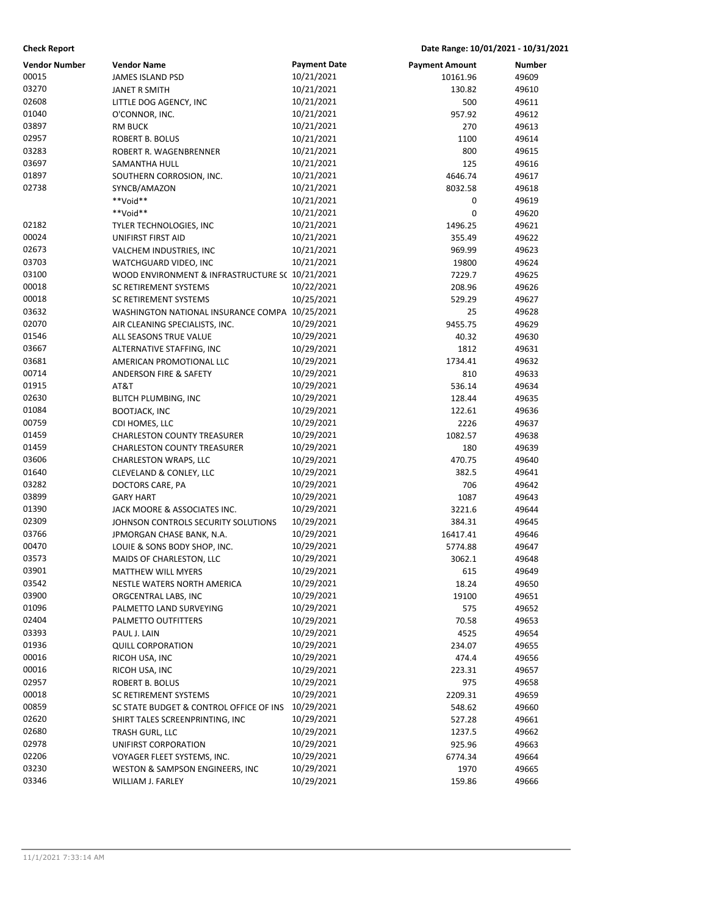## **Check Report Date Range: 10/01/2021 - 10/31/2021**

| <b>Vendor Number</b> | <b>Vendor Name</b>                              | <b>Payment Date</b>      | <b>Payment Amount</b> | Number         |
|----------------------|-------------------------------------------------|--------------------------|-----------------------|----------------|
| 00015                | <b>JAMES ISLAND PSD</b>                         | 10/21/2021               | 10161.96              | 49609          |
| 03270                | <b>JANET R SMITH</b>                            | 10/21/2021               | 130.82                | 49610          |
| 02608                | LITTLE DOG AGENCY, INC                          | 10/21/2021               | 500                   | 49611          |
| 01040                | O'CONNOR, INC.                                  | 10/21/2021               | 957.92                | 49612          |
| 03897                | <b>RM BUCK</b>                                  | 10/21/2021               | 270                   | 49613          |
| 02957                | ROBERT B. BOLUS                                 | 10/21/2021               | 1100                  | 49614          |
| 03283                | ROBERT R. WAGENBRENNER                          | 10/21/2021               | 800                   | 49615          |
| 03697                | SAMANTHA HULL                                   | 10/21/2021               | 125                   | 49616          |
| 01897                | SOUTHERN CORROSION, INC.                        | 10/21/2021               | 4646.74               | 49617          |
| 02738                | SYNCB/AMAZON                                    | 10/21/2021               | 8032.58               | 49618          |
|                      | **Void**                                        | 10/21/2021               | 0                     | 49619          |
|                      | **Void**                                        | 10/21/2021               | 0                     | 49620          |
| 02182                | TYLER TECHNOLOGIES, INC                         | 10/21/2021               | 1496.25               | 49621          |
| 00024                | UNIFIRST FIRST AID                              | 10/21/2021               | 355.49                | 49622          |
| 02673                | VALCHEM INDUSTRIES, INC                         | 10/21/2021               | 969.99                | 49623          |
| 03703                | WATCHGUARD VIDEO, INC                           | 10/21/2021               | 19800                 | 49624          |
| 03100                | WOOD ENVIRONMENT & INFRASTRUCTURE S( 10/21/2021 |                          | 7229.7                | 49625          |
| 00018                | SC RETIREMENT SYSTEMS                           | 10/22/2021               | 208.96                | 49626          |
| 00018                | SC RETIREMENT SYSTEMS                           | 10/25/2021               | 529.29                | 49627          |
| 03632                | WASHINGTON NATIONAL INSURANCE COMPA 10/25/2021  |                          | 25                    | 49628          |
| 02070                | AIR CLEANING SPECIALISTS, INC.                  | 10/29/2021               | 9455.75               | 49629          |
| 01546                | ALL SEASONS TRUE VALUE                          | 10/29/2021               | 40.32                 | 49630          |
| 03667                | ALTERNATIVE STAFFING, INC                       | 10/29/2021               | 1812                  | 49631          |
| 03681                | AMERICAN PROMOTIONAL LLC                        | 10/29/2021               | 1734.41               | 49632          |
| 00714                | ANDERSON FIRE & SAFETY                          | 10/29/2021               | 810                   | 49633          |
| 01915                | AT&T                                            | 10/29/2021               | 536.14                | 49634          |
| 02630                | <b>BLITCH PLUMBING, INC</b>                     | 10/29/2021               | 128.44                | 49635          |
| 01084                | <b>BOOTJACK, INC</b>                            | 10/29/2021               | 122.61                | 49636          |
| 00759                | CDI HOMES, LLC                                  | 10/29/2021               | 2226                  | 49637          |
| 01459                | CHARLESTON COUNTY TREASURER                     | 10/29/2021               | 1082.57               | 49638          |
| 01459<br>03606       | <b>CHARLESTON COUNTY TREASURER</b>              | 10/29/2021               | 180                   | 49639          |
| 01640                | CHARLESTON WRAPS, LLC                           | 10/29/2021               | 470.75                | 49640          |
| 03282                | CLEVELAND & CONLEY, LLC                         | 10/29/2021<br>10/29/2021 | 382.5                 | 49641          |
| 03899                | DOCTORS CARE, PA<br><b>GARY HART</b>            | 10/29/2021               | 706<br>1087           | 49642<br>49643 |
| 01390                | JACK MOORE & ASSOCIATES INC.                    | 10/29/2021               | 3221.6                | 49644          |
| 02309                | JOHNSON CONTROLS SECURITY SOLUTIONS             | 10/29/2021               | 384.31                | 49645          |
| 03766                | JPMORGAN CHASE BANK, N.A.                       | 10/29/2021               | 16417.41              | 49646          |
| 00470                | LOUIE & SONS BODY SHOP, INC.                    | 10/29/2021               | 5774.88               | 49647          |
| 03573                | MAIDS OF CHARLESTON, LLC                        | 10/29/2021               | 3062.1                | 49648          |
| 03901                | MATTHEW WILL MYERS                              | 10/29/2021               | 615                   | 49649          |
| 03542                | NESTLE WATERS NORTH AMERICA                     | 10/29/2021               | 18.24                 | 49650          |
| 03900                | ORGCENTRAL LABS, INC                            | 10/29/2021               | 19100                 | 49651          |
| 01096                | PALMETTO LAND SURVEYING                         | 10/29/2021               | 575                   | 49652          |
| 02404                | PALMETTO OUTFITTERS                             | 10/29/2021               | 70.58                 | 49653          |
| 03393                | PAUL J. LAIN                                    | 10/29/2021               | 4525                  | 49654          |
| 01936                | <b>QUILL CORPORATION</b>                        | 10/29/2021               | 234.07                | 49655          |
| 00016                | RICOH USA, INC                                  | 10/29/2021               | 474.4                 | 49656          |
| 00016                | RICOH USA, INC                                  | 10/29/2021               | 223.31                | 49657          |
| 02957                | ROBERT B. BOLUS                                 | 10/29/2021               | 975                   | 49658          |
| 00018                | <b>SC RETIREMENT SYSTEMS</b>                    | 10/29/2021               | 2209.31               | 49659          |
| 00859                | SC STATE BUDGET & CONTROL OFFICE OF INS         | 10/29/2021               | 548.62                | 49660          |
| 02620                | SHIRT TALES SCREENPRINTING, INC                 | 10/29/2021               | 527.28                | 49661          |
| 02680                | TRASH GURL, LLC                                 | 10/29/2021               | 1237.5                | 49662          |
| 02978                | UNIFIRST CORPORATION                            | 10/29/2021               | 925.96                | 49663          |
| 02206                | VOYAGER FLEET SYSTEMS, INC.                     | 10/29/2021               | 6774.34               | 49664          |
| 03230                | WESTON & SAMPSON ENGINEERS, INC                 | 10/29/2021               | 1970                  | 49665          |
| 03346                | WILLIAM J. FARLEY                               | 10/29/2021               | 159.86                | 49666          |